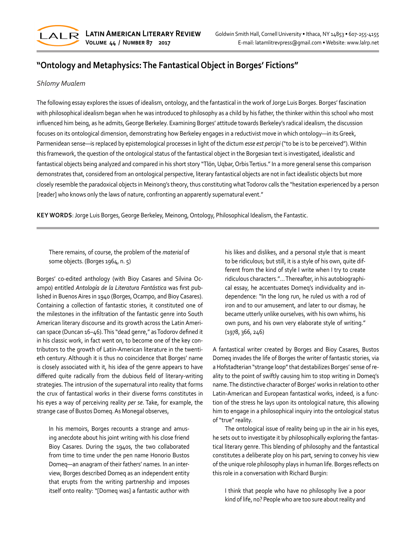

## **"Ontology and Metaphysics: The Fantastical Object in Borges' Fictions"**

## *Shlomy Mualem*

The following essay explores the issues of idealism, ontology, and the fantastical in the work of Jorge Luis Borges. Borges' fascination with philosophical idealism began when he was introduced to philosophy as a child by his father, the thinker within this school who most influenced him being, as he admits, George Berkeley. Examining Borges' attitude towards Berkeley's radical idealism, the discussion focuses on its ontological dimension, demonstrating how Berkeley engages in a reductivist move in which ontology—in its Greek, Parmenidean sense—is replaced by epistemological processes in light of the dictum *esse est percipi* ("to be is to be perceived"). Within this framework, the question of the ontological status of the fantastical object in the Borgesian text is investigated, idealistic and fantastical objects being analyzed and compared in his short story "Tlön, Uqbar, Orbis Tertius." In a more general sense this comparison demonstrates that, considered from an ontological perspective, literary fantastical objects are not in fact idealistic objects but more closely resemble the paradoxical objects in Meinong's theory, thus constituting what Todorov calls the "hesitation experienced by a person [reader] who knows only the laws of nature, confronting an apparently supernatural event."

**KEY WORDS**: Jorge Luis Borges, George Berkeley, Meinong, Ontology, Philosophical Idealism, the Fantastic.

There remains, of course, the problem of the *material* of some objects. (Borges 1964, n. 5)

Borges' co-edited anthology (with Bioy Casares and Silvina Oc‐ ampo) entitled *Antología de la Literatura Fantástica* was first pub‐ lished in Buenos Aires in 1940 (Borges, Ocampo, and Bioy Casares). Containing a collection of fantastic stories, it constituted one of the milestones in the infiltration of the fantastic genre into South American literary discourse and its growth across the Latin Ameri‐ can space (Duncan 16–46). This "dead genre," as Todorov defined it in his classic work, in fact went on, to become one of the key contributors to the growth of Latin-American literature in the twenti‐ eth century. Although it is thus no coincidence that Borges' name is closely associated with it, his idea of the genre appears to have differed quite radically from the dubious field of literary-writing strategies. The intrusion of the supernatural into reality that forms the crux of fantastical works in their diverse forms constitutes in his eyes a way of perceiving reality *per se*. Take, for example, the strange case of Bustos Domeq. As Monegal observes,

In his memoirs, Borges recounts a strange and amus‐ ing anecdote about his joint writing with his close friend Bioy Casares. During the 1940s, the two collaborated from time to time under the pen name Honorio Bustos Domeq—an anagram of their fathers' names. In an inter‐ view, Borges described Domeq as an independent entity that erupts from the writing partnership and imposes itself onto reality: "[Domeq was] a fantastic author with

his likes and dislikes, and a personal style that is meant to be ridiculous; but still, it is a style of his own, quite dif‐ ferent from the kind of style I write when I try to create ridiculous characters."… Thereafter, in his autobiographi‐ cal essay, he accentuates Domeq's individuality and in‐ dependence: "In the long run, he ruled us with a rod of iron and to our amusement, and later to our dismay, he became utterly unlike ourselves, with his own whims, his own puns, and his own very elaborate style of writing." (1978, 366, 246)

A fantastical writer created by Borges and Bioy Casares, Bustos Domeq invades the life of Borges the writer of fantastic stories, via a Hofstadterian "strange loop" that destabilizes Borges' sense of re‐ ality to the point of swiftly causing him to stop writing in Domeq's name. The distinctive character of Borges' works in relation to other Latin-American and European fantastical works, indeed, is a func‐ tion of the stress he lays upon its ontological nature, this allowing him to engage in a philosophical inquiry into the ontological status of "true" reality.

The ontological issue of reality being up in the air in his eyes, he sets out to investigate it by philosophically exploring the fantastical literary genre. This blending of philosophy and the fantastical constitutes a deliberate ploy on his part, serving to convey his view of the unique role philosophy plays in human life. Borges reflects on this role in a conversation with Richard Burgin:

I think that people who have no philosophy live a poor kind of life, no? People who are too sure about reality and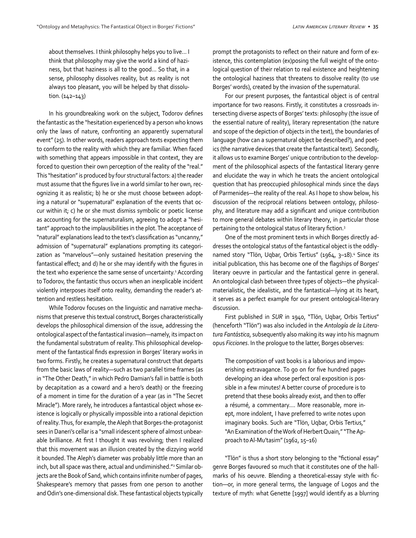about themselves. I think philosophy helps you to live… I think that philosophy may give the world a kind of hazi‐ ness, but that haziness is all to the good… So that, in a sense, philosophy dissolves reality, but as reality is not always too pleasant, you will be helped by that dissolu‐ tion. (142–143)

In his groundbreaking work on the subject, Todorov defines the fantastic as the "hesitation experienced by a person who knows only the laws of nature, confronting an apparently supernatural event" (25). In other words, readers approach texts expecting them to conform to the reality with which they are familiar. When faced with something that appears impossible in that context, they are forced to question their own perception of the reality of the "real." This "hesitation" is produced by four structural factors: a) the reader must assume that the figures live in a world similar to her own, recognizing it as realistic; b) he or she must choose between adopt‐ ing a natural or "supernatural" explanation of the events that oc‐ cur within it; c) he or she must dismiss symbolic or poetic license as accounting for the supernaturalism, agreeing to adopt a "hesi‐ tant" approach to the implausibilities in the plot. The acceptance of "natural" explanations lead to the text's classification as "uncanny," admission of "supernatural" explanations prompting its categori‐ zation as "marvelous"—only sustained hesitation preserving the fantastical effect; and d) he or she may identify with the figures in the text who experience the same sense of uncertainty.<sup>1</sup> According to Todorov, the fantastic thus occurs when an inexplicable incident violently interposes itself onto reality, demanding the reader's at‐ tention and restless hesitation.

While Todorov focuses on the linguistic and narrative mecha‐ nisms that preserve this textual construct, Borges characteristically develops the philosophical dimension of the issue, addressing the ontological aspect of the fantastical invasion—namely, its impact on the fundamental substratum of reality. This philosophical develop‐ ment of the fantastical finds expression in Borges' literary works in two forms. Firstly, he creates a supernatural construct that departs from the basic laws of reality—such as two parallel time frames (as in "The Other Death," in which Pedro Damian's fall in battle is both by decapitation as a coward and a hero's death) or the freezing of a moment in time for the duration of a year (as in "The Secret Miracle"). More rarely, he introduces a fantastical object whose ex‐ istence is logically or physically impossible into a rational depiction of reality. Thus, for example, the Aleph that Borges-the-protagonist sees in Daneri's cellar is a "small iridescent sphere of almost unbear‐ able brilliance. At first I thought it was revolving; then I realized that this movement was an illusion created by the dizzying world it bounded. The Aleph's diameter was probably little more than an inch, but all space was there, actual and undiminished."2 Similar ob‐ jects are the Book of Sand, which contains infinite number of pages, Shakespeare's memory that passes from one person to another and Odin's one-dimensional disk. These fantastical objects typically

prompt the protagonists to reflect on their nature and form of ex‐ istence, this contemplation (ex)posing the full weight of the ontological question of their relation to real existence and heightening the ontological haziness that threatens to dissolve reality (to use Borges' words), created by the invasion of the supernatural.

For our present purposes, the fantastical object is of central importance for two reasons. Firstly, it constitutes a crossroads in‐ tersecting diverse aspects of Borges' texts: philosophy (the issue of the essential nature of reality), literary representation (the nature and scope of the depiction of objects in the text), the boundaries of language (how can a supernatural object be described?), and poet‐ ics (the narrative devices that create the fantastical text). Secondly, it allows us to examine Borges' unique contribution to the develop‐ ment of the philosophical aspects of the fantastical literary genre and elucidate the way in which he treats the ancient ontological question that has preoccupied philosophical minds since the days of Parmenides—the reality of the real. As I hope to show below, his discussion of the reciprocal relations between ontology, philoso‐ phy, and literature may add a significant and unique contribution to more general debates within literary theory, in particular those pertaining to the ontological status of literary fiction.<sup>3</sup>

One of the most prominent texts in which Borges directly ad‐ dresses the ontological status of the fantastical object is the oddlynamed story "Tlön, Uqbar, Orbis Tertius" (1964, 3–18).<sup>4</sup> Since its initial publication, this has become one of the flagships of Borges' literary oeuvre in particular and the fantastical genre in general. An ontological clash between three types of objects—the physicalmaterialistic, the idealistic, and the fantastical—lying at its heart, it serves as a perfect example for our present ontological-literary discussion.

First published in *SUR* in 1940, "Tlön, Uqbar, Orbis Tertius" (henceforth "Tlön") was also included in the *Antología de la Literatura Fantástica*, subsequently also making its way into his magnum opus *Ficciones*. In the prologue to the latter, Borges observes:

The composition of vast books is a laborious and impov‐ erishing extravagance. To go on for five hundred pages developing an idea whose perfect oral exposition is pos‐ sible in a few minutes! A better course of procedure is to pretend that these books already exist, and then to offer a résumé, a commentary.… More reasonable, more in‐ ept, more indolent, I have preferred to write notes upon imaginary books. Such are "Tlön, Uqbar, Orbis Tertius," "An Examination of the Work of Herbert Quain," "The Ap‐ proach to Al-Mu'tasim" (1962, 15–16)

"Tlön" is thus a short story belonging to the "fictional essay" genre Borges favoured so much that it constitutes one of the hall‐ marks of his oeuvre. Blending a theoretical-essay style with fic‐ tion—or, in more general terms, the language of Logos and the texture of myth: what Genette [1997] would identify as a blurring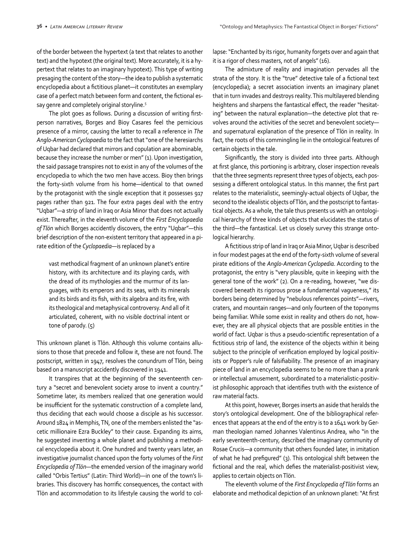of the border between the hypertext (a text that relates to another text) and the hypotext (the original text). More accurately, it is a hy‐ pertext that relates to an imaginary hypotext). This type of writing presaging the content of the story—the idea to publish a systematic encyclopedia about a fictitious planet—it constitutes an exemplary case of a perfect match between form and content, the fictional es‐ say genre and completely original storyline.<sup>5</sup>

The plot goes as follows. During a discussion of writing firstperson narratives, Borges and Bioy Casares feel the pernicious presence of a mirror, causing the latter to recall a reference in *The Anglo-American Cyclopaedia* to the fact that "one of the heresiarchs of Uqbar had declared that mirrors and copulation are abominable, because they increase the number or men" (1). Upon investigation, the said passage transpires not to exist in any of the volumes of the encyclopedia to which the two men have access. Bioy then brings the forty-sixth volume from his home—identical to that owned by the protagonist with the single exception that it possesses 917 pages rather than 921. The four extra pages deal with the entry "Uqbar"—a strip of land in Iraq or Asia Minor that does not actually exist. Thereafter, in the eleventh volume of the *First Encyclopaedia of Tlön* which Borges accidently discovers, the entry "Uqbar"—this brief description of the non-existent territory that appeared in a pi‐ rate edition of the *Cyclopaedia*—is replaced by a

vast methodical fragment of an unknown planet's entire history, with its architecture and its playing cards, with the dread of its mythologies and the murmur of its lan‐ guages, with its emperors and its seas, with its minerals and its birds and its fish, with its algebra and its fire, with its theological and metaphysical controversy. And all of it articulated, coherent, with no visible doctrinal intent or tone of parody. (5)

This unknown planet is Tlön. Although this volume contains allu‐ sions to those that precede and follow it, these are not found. The postscript, written in 1947, resolves the conundrum of Tlön, being based on a manuscript accidently discovered in 1941.

It transpires that at the beginning of the seventeenth cen‐ tury a "secret and benevolent society arose to invent a country." Sometime later, its members realized that one generation would be insufficient for the systematic construction of a complete land, thus deciding that each would choose a disciple as his successor. Around 1824 in Memphis, TN, one of the members enlisted the "as‐ cetic millionaire Ezra Buckley" to their cause. Expanding its aims, he suggested inventing a whole planet and publishing a methodi‐ cal encyclopedia about it. One hundred and twenty years later, an investigative journalist chanced upon the forty volumes of the *First Encyclopedia of Tlön*—the emended version of the imaginary world called "Orbis Tertius" (Latin: Third World)—in one of the town's li‐ braries. This discovery has horrific consequences, the contact with Tlön and accommodation to its lifestyle causing the world to col‐

lapse: "Enchanted by its rigor, humanity forgets over and again that it is a rigor of chess masters, not of angels" (16).

The admixture of reality and imagination pervades all the strata of the story. It is the "true" detective tale of a fictional text (encyclopedia); a secret association invents an imaginary planet that in turn invades and destroys reality. This multilayered blending heightens and sharpens the fantastical effect, the reader "hesitating" between the natural explanation—the detective plot that re‐ volves around the activities of the secret and benevolent society and supernatural explanation of the presence of Tlön in reality. In fact, the roots of this commingling lie in the ontological features of certain objects in the tale.

Significantly, the story is divided into three parts. Although at first glance, this portioning is arbitrary, closer inspection reveals that the three segments represent three types of objects, each pos‐ sessing a different ontological status. In this manner, the first part relates to the materialistic, seemingly-actual objects of Uqbar, the second to the idealistic objects of Tlön, and the postscript to fantastical objects. As a whole, the tale thus presents us with an ontologi‐ cal hierarchy of three kinds of objects that elucidates the status of the third—the fantastical. Let us closely survey this strange onto‐ logical hierarchy.

A fictitious strip of land in Iraq or Asia Minor, Uqbar is described in four modest pages at the end of the forty-sixth volume of several pirate editions of the *Anglo-American Cyclopedia*. According to the protagonist, the entry is "very plausible, quite in keeping with the general tone of the work" (2). On a re-reading, however, "we dis‐ covered beneath its rigorous prose a fundamental vagueness," its borders being determined by "nebulous references points"—rivers, craters, and mountain ranges—and only fourteen of the toponyms being familiar. While some exist in reality and others do not, how‐ ever, they are all physical objects that are possible entities in the world of fact. Uqbar is thus a pseudo-scientific representation of a fictitious strip of land, the existence of the objects within it being subject to the principle of verification employed by logical positivists or Popper's rule of falsifiability. The presence of an imaginary piece of land in an encyclopedia seems to be no more than a prank or intellectual amusement, subordinated to a materialistic-positiv‐ ist philosophic approach that identifies truth with the existence of raw material facts.

At this point, however, Borges inserts an aside that heralds the story's ontological development. One of the bibliographical refer‐ ences that appears at the end of the entry is to a 1641 work by Ger‐ man theologian named Johannes Valentinus Andrea, who "in the early seventeenth-century, described the imaginary community of Rosae Crucis—a community that others founded later, in imitation of what he had prefigured" (3). This ontological shift between the fictional and the real, which defies the materialist-positivist view, applies to certain objects on Tlön.

The eleventh volume of the *First Encyclopedia of Tlön* forms an elaborate and methodical depiction of an unknown planet: "At first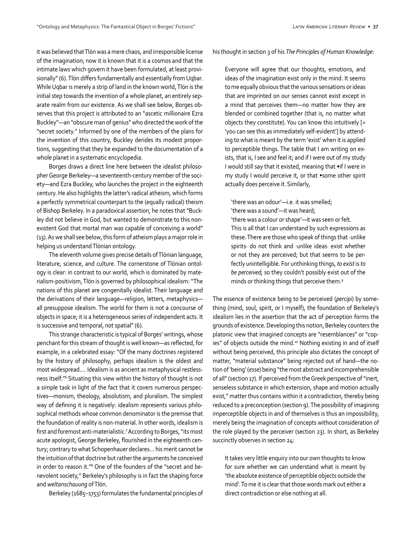it was believed that Tlön was a mere chaos, and irresponsible license of the imagination; now it is known that it is a cosmos and that the intimate laws which govern it have been formulated, at least provisionally" (6). Tlön differs fundamentally and essentially from Uqbar. While Uqbar is merely a strip of land in the known world, Tlön is the initial step towards the invention of a whole planet, an entirely sep‐ arate realm from our existence. As we shall see below, Borges ob‐ serves that this project is attributed to an "ascetic millionaire Ezra Buckley"—an "obscure man of genius" who directed the work of the "secret society." Informed by one of the members of the plans for the invention of this country, Buckley derides its modest propor‐ tions, suggesting that they be expanded to the documentation of a whole planet in a systematic encyclopedia.

Borges draws a direct line here between the idealist philoso‐ pher George Berkeley—a seventeenth-century member of the soci‐ ety—and Ezra Buckley, who launches the project in the eighteenth century. He also highlights the latter's radical atheism, which forms a perfectly symmetrical counterpart to the (equally radical) theism of Bishop Berkeley. In a paradoxical assertion, he notes that "Buck‐ ley did not believe in God, but wanted to demonstrate to this non‐ existent God that mortal man was capable of conceiving a world" (13). As we shall see below, this form of atheism plays a major role in helping us understand Tlönian ontology.

The eleventh volume gives precise details of Tlönian language, literature, science, and culture. The cornerstone of Tlönian ontol‐ ogy is clear: in contrast to our world, which is dominated by mate‐ rialism-positivism, Tlön is governed by philosophical idealism: "The nations of this planet are congenitally idealist. Their language and the derivations of their language—religion, letters, metaphysics all presuppose idealism. The world for them is not a concourse of objects in space; it is a heterogeneous series of independent acts. It is successive and temporal, not spatial" (6).

This strange characteristic is typical of Borges' writings, whose penchant for this stream of thought is well known—as reflected, for example, in a celebrated essay: "Of the many doctrines registered by the history of philosophy, perhaps idealism is the oldest and most widespread.… Idealism is as ancient as metaphysical restless‐ ness itself."6 Situating this view within the history of thought is not a simple task in light of the fact that it covers numerous perspec‐ tives—monism, theology, absolutism, and pluralism. The simplest way of defining it is negatively: idealism represents various philosophical methods whose common denominator is the premise that the foundation of reality is non-material. In other words, idealism is first and foremost anti-materialistic.<sup>7</sup> According to Borges, "its most acute apologist, George Berkeley, flourished in the eighteenth century; contrary to what Schopenhauer declares… his merit cannot be the intuition of that doctrine but rather the arguments he conceived in order to reason it."8 One of the founders of the "secret and be‐ nevolent society," Berkeley's philosophy is in fact the shaping force and *weltanschauung* of Tlön.

Berkeley (1685–1753) formulates the fundamental principles of

his thought in section 3 of his *The Principles of Human Knowledge*:

Everyone will agree that our thoughts, emotions, and ideas of the imagination exist only in the mind. It seems to me equally obvious that the various sensations or ideas that are imprinted on our senses cannot exist except in a mind that perceives them—no matter how they are blended or combined together (that is, no matter what objects they constitute). You can know this intuitively [= 'you can see this as immediately self-evident'] by attend‐ ing to what is meant by the term 'exist' when it is applied to perceptible things. The table that I am writing on ex‐ ists, that is, I see and feel it; and if I were out of my study I would still say that it existed, meaning that •if I were in my study I would perceive it, or that •some other spirit actually does perceive it. Similarly,

'there was an odour'—i.e. it was smelled; 'there was a sound'—it was heard; 'there was a colour or shape'—it was seen or felt. This is all that I can understand by such expressions as these. There are those who speak of things that ·unlike spirits· do not think and ·unlike ideas· exist whether or not they are perceived; but that seems to be per‐ fectly unintelligible. For unthinking things, *to exist* is *to be perceived*; so they couldn't possibly exist out of the minds or thinking things that perceive them.9

The essence of existence being to be perceived (*percipi*) by some‐ thing (mind, soul, spirit, or I myself), the foundation of Berkeley's idealism lies in the assertion that the act of perception forms the grounds of existence. Developing this notion, Berkeley counters the platonic view that imagined concepts are "resemblances" or "cop‐ ies" of objects outside the mind.<sup>10</sup> Nothing existing in and of itself without being perceived, this principle also dictates the concept of matter, "material substance" being rejected out of hand—the no‐ tion of 'being' (*esse*) being "the most abstract and incomprehensible of all" (section 17). If perceived from the Greek perspective of "inert, senseless substance in which extension, shape and motion actually exist," matter thus contains within it a contradiction, thereby being reduced to a preconception (section 9). The possibility of imagining imperceptible objects in and of themselves is thus an impossibility, merely being the imagination of concepts without consideration of the role played by the perceiver (section 23). In short, as Berkeley succinctly observes in section 24:

It takes very little enquiry into our own thoughts to know for sure whether we can understand what is meant by 'the absolute existence of perceptible objects outside the mind'. To me it is clear that those words mark out either a direct contradiction or else nothing at all.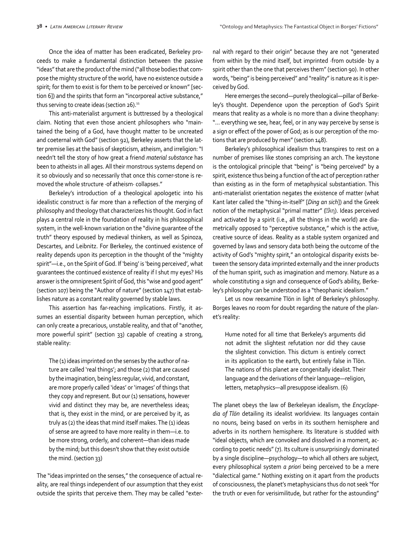Once the idea of matter has been eradicated, Berkeley pro‐ ceeds to make a fundamental distinction between the passive "ideas" that are the product of the mind ("all those bodies that com‐ pose the mighty structure of the world, have no existence outside a spirit; for them to exist is for them to be perceived or known" [sec‐ tion 6]) and the spirits that form an "incorporeal active substance," thus serving to create ideas (section 26).<sup>11</sup>

This anti-materialist argument is buttressed by a theological claim. Noting that even those ancient philosophers who "main‐ tained the being of a God, have thought matter to be uncreated and coeternal with God" (section 92), Berkeley asserts that the latter premise lies at the basis of skepticism, atheism, and irreligion: "I needn't tell the story of how great a friend *material substance* has been to atheists in all ages. All their monstrous systems depend on it so obviously and so necessarily that once this corner-stone is re‐ moved the whole structure ·of atheism· collapses."

Berkeley's introduction of a theological apologetic into his idealistic construct is far more than a reflection of the merging of philosophy and theology that characterizes his thought. God in fact plays a central role in the foundation of reality in his philosophical system, in the well-known variation on the "divine guarantee of the truth" theory espoused by medieval thinkers, as well as Spinoza, Descartes, and Leibnitz. For Berkeley, the continued existence of reality depends upon its perception in the thought of the "mighty spirit"—i.e., on the Spirit of God. If 'being' is 'being perceived', what guarantees the continued existence of reality if I shut my eyes? His answer is the omnipresent Spirit of God, this "wise and good agent" (section 107) being the "Author of nature" (section 147) that estab‐ lishes nature as a constant reality governed by stable laws.

This assertion has far-reaching implications. Firstly, it assumes an essential disparity between human perception, which can only create a precarious, unstable reality, and that of "another, more powerful spirit" (section 33) capable of creating a strong, stable reality:

The (1) ideas imprinted on the senses by the author of nature are called 'real things'; and those (2) that are caused by the imagination, being less regular, vivid, and constant, are more properly called 'ideas' or 'images' of things that they copy and represent. But our (1) sensations, however vivid and distinct they may be, are nevertheless ideas; that is, they exist in the mind, or are perceived by it, as truly as (2) the ideas that mind itself makes. The (1) ideas of sense are agreed to have more reality in them—i.e. to be more strong, orderly, and coherent—than ideas made by the mind; but this doesn't show that they exist outside the mind. (section 33)

The "ideas imprinted on the senses," the consequence of actual re‐ ality, are real things independent of our assumption that they exist outside the spirits that perceive them. They may be called "exter‐

nal with regard to their origin" because they are not "generated from within by the mind itself, but imprinted ·from outside· by a spirit other than the one that perceives them" (section 90). In other words, "being" is being perceived" and "reality" is nature as it is perceived by God.

Here emerges the second—purely theological—pillar of Berke‐ ley's thought. Dependence upon the perception of God's Spirit means that reality as a whole is no more than a divine theophany: "... everything we see, hear, feel, or in any way perceive by sense is a sign or effect of the power of God; as is our perception of the mo‐ tions that are produced by men" (section 148).

Berkeley's philosophical idealism thus transpires to rest on a number of premises like stones comprising an arch. The keystone is the ontological principle that "being" is "being perceived" by a spirit, existence thus being a function of the act of perception rather than existing as in the form of metaphysical substantiation. This anti-materialist orientation negates the existence of matter (what Kant later called the "thing-in-itself" [*Ding an sich*]) and the Greek notion of the metaphysical "primal matter" (**II**λη). Ideas perceived and activated by a spirit (i.e., all the things in the world) are dia‐ metrically opposed to "perceptive substance," which is the active, creative source of ideas. Reality as a stable system organized and governed by laws and sensory data both being the outcome of the activity of God's "mighty spirit," an ontological disparity exists be‐ tween the sensory data imprinted externally and the inner products of the human spirit, such as imagination and memory. Nature as a whole constituting a sign and consequence of God's ability, Berke‐ ley's philosophy can be understood as a "theophanic idealism."

Let us now reexamine Tlön in light of Berkeley's philosophy. Borges leaves no room for doubt regarding the nature of the plan‐ et's reality:

Hume noted for all time that Berkeley's arguments did not admit the slightest refutation nor did they cause the slightest conviction. This dictum is entirely correct in its application to the earth, but entirely false in Tlön. The nations of this planet are congenitally idealist. Their language and the derivations of their language—religion, letters, metaphysics—all presuppose idealism. (6)

The planet obeys the law of Berkeleyan idealism, the *Encyclopedia of Tlön* detailing its idealist worldview. Its languages contain no nouns, being based on verbs in its southern hemisphere and adverbs in its northern hemisphere. Its literature is studded with "ideal objects, which are convoked and dissolved in a moment, according to poetic needs" (7). Its culture is unsurprisingly dominated by a single discipline—psychology—to which all others are subject, every philosophical system *a priori* being perceived to be a mere "dialectical game." Nothing existing on it apart from the products of consciousness, the planet's metaphysicians thus do not seek "for the truth or even for verisimilitude, but rather for the astounding"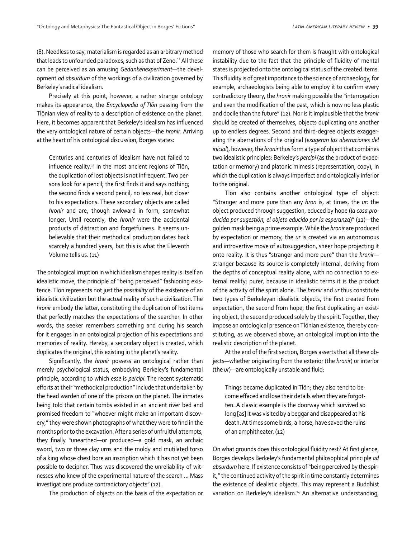(8). Needless to say, materialism is regarded as an arbitrary method that leads to unfounded paradoxes, such as that of Zeno.<sup>12</sup> All these can be perceived as an amusing *Gedankenexperiment*—the devel‐ opment *ad absurdum* of the workings of a civilization governed by Berkeley's radical idealism.

Precisely at this point, however, a rather strange ontology makes its appearance, the *Encyclopedia of Tlön* passing from the Tlönian view of reality to a description of existence on the planet. Here, it becomes apparent that Berkeley's idealism has influenced the very ontological nature of certain objects—the *hronir*. Arriving at the heart of his ontological discussion, Borges states:

Centuries and centuries of idealism have not failed to influence reality.13 In the most ancient regions of Tlön, the duplication of lost objects is not infrequent. Two per‐ sons look for a pencil; the first finds it and says nothing; the second finds a second pencil, no less real, but closer to his expectations. These secondary objects are called *hronir* and are, though awkward in form, somewhat longer. Until recently, the *hronir* were the accidental products of distraction and forgetfulness. It seems un‐ believable that their methodical production dates back scarcely a hundred years, but this is what the Eleventh Volume tells us. (11)

The ontological irruption in which idealism shapes reality is itself an idealistic move, the principle of "being perceived" fashioning exis‐ tence. Tlön represents not just the *possibility* of the existence of an idealistic civilization but the actual reality of such a civilization. The *hronir* embody the latter, constituting the duplication of lost items that perfectly matches the expectations of the searcher. In other words, the seeker remembers something and during his search for it engages in an ontological projection of his expectations and memories of reality. Hereby, a secondary object is created, which duplicates the original, this existing in the planet's reality.

Significantly, the *hronir* possess an ontological rather than merely psychological status, embodying Berkeley's fundamental principle, according to which *esse* is *percipi*. The recent systematic efforts at their "methodical production" include that undertaken by the head warden of one of the prisons on the planet. The inmates being told that certain tombs existed in an ancient river bed and promised freedom to "whoever might make an important discov‐ ery," they were shown photographs of what they were to find in the months prior to the excavation. After a series of unfruitful attempts, they finally "unearthed—or produced—a gold mask, an archaic sword, two or three clay urns and the moldy and mutilated torso of a king whose chest bore an inscription which it has not yet been possible to decipher. Thus was discovered the unreliability of wit‐ nesses who knew of the experimental nature of the search ... Mass investigations produce contradictory objects" (12).

The production of objects on the basis of the expectation or

memory of those who search for them is fraught with ontological instability due to the fact that the principle of fluidity of mental states is projected onto the ontological status of the created items. This fluidity is of great importance to the science of archaeology, for example, archaeologists being able to employ it to confirm every contradictory theory, the *hronir* making possible the "interrogation and even the modification of the past, which is now no less plastic and docile than the future" (12). Nor is it implausible that the *hronir* should be created of themselves, objects duplicating one another up to endless degrees. Second and third-degree objects exagger‐ ating the aberrations of the original (*exageran las aberraciones del inicial*), however, the *hronir* thus form a type of object that combines two idealistic principles: Berkeley's *percipi* (as the product of expec‐ tation or memory) and platonic mimesis (representation, copy), in which the duplication is always imperfect and ontologically inferior to the original.

Tlön also contains another ontological type of object: "Stranger and more pure than any *hron* is, at times, the *ur*: the object produced through suggestion, educed by hope (*la cosa producida por sugestión, el objeto educido por la esperanza*)" (12)—the golden mask being a prime example. While the *hronir* are produced by expectation or memory, the *ur* is created via an autonomous and introvertive move of autosuggestion, sheer hope projecting it onto reality. It is thus "stranger and more pure" than the *hronir* stranger because its source is completely internal, deriving from the depths of conceptual reality alone, with no connection to ex‐ ternal reality; purer, because in idealistic terms it is the product of the activity of the spirit alone. The *hronir* and *ur* thus constitute two types of Berkeleyan idealistic objects, the first created from expectation, the second from hope, the first duplicating an existing object, the second produced solely by the spirit. Together, they impose an ontological presence on Tlönian existence, thereby constituting, as we observed above, an ontological irruption into the realistic description of the planet.

At the end of the first section, Borges asserts that all these ob‐ jects—whether originating from the exterior (the *hronir*) or interior (the *ur*)—are ontologically unstable and fluid:

Things became duplicated in Tlön; they also tend to be‐ come effaced and lose their details when they are forgot‐ ten. A classic example is the doorway which survived so long [as] it was visited by a beggar and disappeared at his death. At times some birds, a horse, have saved the ruins of an amphitheater. (12)

On what grounds does this ontological fluidity rest? At first glance, Borges develops Berkeley's fundamental philosophical principle *ad absurdum* here. If existence consists of "being perceived by the spir‐ it," the continued activity of the spirit in time constantly determines the existence of idealistic objects. This may represent a Buddhist variation on Berkeley's idealism.<sup>14</sup> An alternative understanding,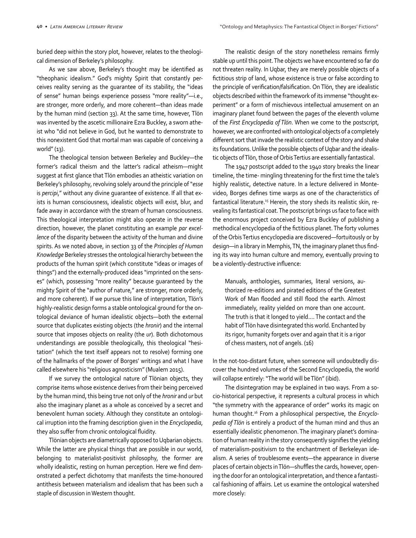buried deep within the story plot, however, relates to the theologi‐ cal dimension of Berkeley's philosophy.

As we saw above, Berkeley's thought may be identified as "theophanic idealism." God's mighty Spirit that constantly per‐ ceives reality serving as the guarantee of its stability, the "ideas of sense" human beings experience possess "more reality"—i.e., are stronger, more orderly, and more coherent—than ideas made by the human mind (section 33). At the same time, however, Tlön was invented by the ascetic millionaire Ezra Buckley, a sworn athe‐ ist who "did not believe in God, but he wanted to demonstrate to this nonexistent God that mortal man was capable of conceiving a world" (13).

The theological tension between Berkeley and Buckley—the former's radical theism and the latter's radical atheism—might suggest at first glance that Tlön embodies an atheistic variation on Berkeley's philosophy, revolving solely around the principle of "*esse* is *percipi*," without any divine quarantee of existence. If all that exists is human consciousness, idealistic objects will exist, blur, and fade away in accordance with the stream of human consciousness. This theological interpretation might also operate in the reverse direction, however, the planet constituting an example *par excellence* of the disparity between the activity of the human and divine spirits. As we noted above, in section 33 of the *Principles of Human Knowledge* Berkeley stresses the ontological hierarchy between the products of the human spirit (which constitute "ideas or images of things") and the externally-produced ideas "imprinted on the sens‐ es" (which, possessing "more reality" because guaranteed by the mighty Spirit of the "author of nature," are stronger, more orderly, and more coherent). If we pursue this line of interpretation, Tlön's highly-realistic design forms a stable ontological ground for the ontological deviance of human idealistic objects—both the external source that duplicates existing objects (the *hronir*) and the internal source that imposes objects on reality (the *ur*). Both dichotomous understandings are possible theologically, this theological "hesi‐ tation" (which the text itself appears not to resolve) forming one of the hallmarks of the power of Borges' writings and what I have called elsewhere his "religious agnosticism" (Mualem 2015).

If we survey the ontological nature of Tlönian objects, they comprise items whose existence derives from their being perceived by the human mind, this being true not only of the *hronir* and *ur* but also the imaginary planet as a whole as conceived by a secret and benevolent human society. Although they constitute an ontologi‐ cal irruption into the framing description given in the *Encyclopedia*, they also suffer from chronic ontological fluidity.

Tlönian objects are diametrically opposed to Uqbarian objects. While the latter are physical things that are possible in our world, belonging to materialist-positivist philosophy, the former are wholly idealistic, resting on human perception. Here we find dem‐ onstrated a perfect dichotomy that manifests the time-honoured antithesis between materialism and idealism that has been such a staple of discussion in Western thought.

The realistic design of the story nonetheless remains firmly stable up until this point. The objects we have encountered so far do not threaten reality. In Uqbar, they are merely possible objects of a fictitious strip of land, whose existence is true or false according to the principle of verification/falsification. On Tlön, they are idealistic objects described within the framework of its immense "thought ex‐ periment" or a form of mischievous intellectual amusement on an imaginary planet found between the pages of the eleventh volume of the *First Encyclopedia of Tlön*. When we come to the postscript, however, we are confronted with ontological objects of a completely different sort that invade the realistic context of the story and shake its foundations. Unlike the possible objects of Uqbar and the idealis‐ tic objects of Tlön, those of Orbis Tertius are essentially fantastical.

The 1947 postscript added to the 1940 story breaks the linear timeline, the time- mingling threatening for the first time the tale's highly realistic, detective nature. In a lecture delivered in Monte‐ video, Borges defines time warps as one of the characteristics of fantastical literature.<sup>15</sup> Herein, the story sheds its realistic skin, revealing its fantastical coat. The postscript brings us face to face with the enormous project conceived by Ezra Buckley of publishing a methodical encyclopedia of the fictitious planet. The forty volumes of the Orbis Tertius encyclopedia are discovered—fortuitously or by design—in a library in Memphis, TN, the imaginary planet thus find‐ ing its way into human culture and memory, eventually proving to be a violently-destructive influence:

Manuals, anthologies, summaries, literal versions, authorized re-editions and pirated editions of the Greatest Work of Man flooded and still flood the earth. Almost immediately, reality yielded on more than one account. The truth is that it longed to yield.… The contact and the habit of Tlön have disintegrated this world. Enchanted by its rigor, humanity forgets over and again that it is a rigor of chess masters, not of angels. (16)

In the not-too-distant future, when someone will undoubtedly dis‐ cover the hundred volumes of the Second Encyclopedia, the world will collapse entirely: "The world will be Tlön" (ibid).

The disintegration may be explained in two ways. From a so‐ cio-historical perspective, it represents a cultural process in which "the symmetry with the appearance of order" works its magic on human thought.16 From a philosophical perspective, the *Encyclopedia of Tlön* is entirely a product of the human mind and thus an essentially idealistic phenomenon. The imaginary planet's domina‐ tion of human reality in the story consequently signifies the yielding of materialism-positivism to the enchantment of Berkeleyan ide‐ alism. A series of troublesome events—the appearance in diverse places of certain objects in Tlön—shuffles the cards, however, open‐ ing the door for an ontological interpretation, and thence a fantasti‐ cal fashioning of affairs. Let us examine the ontological watershed more closely: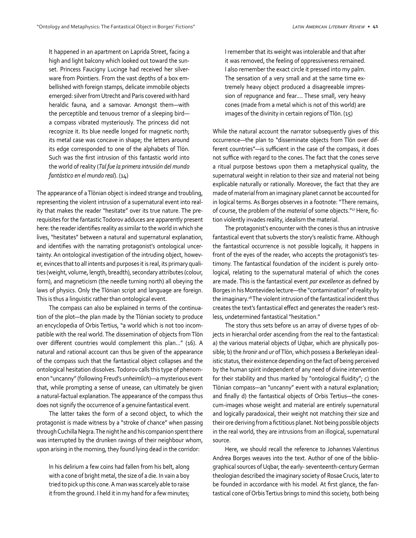It happened in an apartment on Laprida Street, facing a high and light balcony which looked out toward the sun‐ set. Princess Faucigny Lucinge had received her silver‐ ware from Pointiers. From the vast depths of a box em‐ bellished with foreign stamps, delicate immobile objects emerged: silver from Utrecht and Paris covered with hard heraldic fauna, and a samovar. Amongst them—with the perceptible and tenuous tremor of a sleeping bird a compass vibrated mysteriously. The princess did not recognize it. Its blue needle longed for magnetic north; its metal case was concave in shape; the letters around its edge corresponded to one of the alphabets of Tlön. Such was the first intrusion of this fantastic world into the world of reality (*Tal fue la primera intrusión del mundo fantástico en el mundo real*). (14)

The appearance of a Tlönian object is indeed strange and troubling, representing the violent intrusion of a supernatural event into real‐ ity that makes the reader "hesitate" over its true nature. The pre‐ requisites for the fantastic Todorov adduces are apparently present here: the reader identifies reality as similar to the world in which she lives, "hesitates" between a natural and supernatural explanation, and identifies with the narrating protagonist's ontological uncer‐ tainty. An ontological investigation of the intruding object, howev‐ er, evinces that to all intents and purposes it is real, its primary quali‐ ties (weight, volume, length, breadth), secondary attributes (colour, form), and magneticism (the needle turning north) all obeying the laws of physics. Only the Tlönian script and language are foreign. This is thus a linguistic rather than ontological event.

The compass can also be explained in terms of the continua‐ tion of the plot—the plan made by the Tlönian society to produce an encyclopedia of Orbis Tertius, "a world which is not too incom‐ patible with the real world. The dissemination of objects from Tlön over different countries would complement this plan…" (16). A natural and rational account can thus be given of the appearance of the compass such that the fantastical object collapses and the ontological hesitation dissolves. Todorov calls this type of phenom‐ enon "uncanny" (following Freud's *unheimlich*)—a mysterious event that, while prompting a sense of unease, can ultimately be given a natural-factual explanation. The appearance of the compass thus does not signify the occurrence of a genuine fantastical event.

The latter takes the form of a second object, to which the protagonist is made witness by a "stroke of chance" when passing through Cuchilla Negra. The night he and his companion spent there was interrupted by the drunken ravings of their neighbour whom, upon arising in the morning, they found lying dead in the corridor:

In his delirium a few coins had fallen from his belt, along with a cone of bright metal, the size of a die. In vain a boy tried to pick up this cone. A man was scarcely able to raise it from the ground. I held it in my hand for a few minutes; I remember that its weight was intolerable and that after it was removed, the feeling of oppressiveness remained. I also remember the exact circle it pressed into my palm. The sensation of a very small and at the same time extremely heavy object produced a disagreeable impres‐ sion of repugnance and fear.… These small, very heavy cones (made from a metal which is not of this world) are images of the divinity in certain regions of Tlön. (15)

While the natural account the narrator subsequently gives of this occurrence—the plan to "disseminate objects from Tlön over dif‐ ferent countries"—is sufficient in the case of the compass, it does not suffice with regard to the cones. The fact that the cones serve a ritual purpose bestows upon them a metaphysical quality, the supernatural weight in relation to their size and material not being explicable naturally or rationally. Moreover, the fact that they are made of material from an imaginary planet cannot be accounted for in logical terms. As Borges observes in a footnote: "There remains, of course, the problem of the *material* of some objects."17 Here, fic‐ tion violently invades reality, idealism the material.

The protagonist's encounter with the cones is thus an intrusive fantastical event that subverts the story's realistic frame. Although the fantastical occurrence is not possible logically, it happens in front of the eyes of the reader, who accepts the protagonist's testimony. The fantastical foundation of the incident is purely onto‐ logical, relating to the supernatural material of which the cones are made. This is the fantastical event *par excellence* as defined by Borges in his Montevideo lecture—the "contamination" of reality by the imaginary.18 The violent intrusion of the fantastical incident thus creates the text's fantastical effect and generates the reader's rest‐ less, undetermined fantastical "hesitation."

The story thus sets before us an array of diverse types of ob‐ jects in hierarchal order ascending from the real to the fantastical: a) the various material objects of Uqbar, which are physically possible; b) the *hronir* and *ur* of Tlön, which possess a Berkeleyan ideal‐ istic status, their existence depending on the fact of being perceived by the human spirit independent of any need of divine intervention for their stability and thus marked by "ontological fluidity"; c) the Tlönian compass—an "uncanny" event with a natural explanation; and finally d) the fantastical objects of Orbis Tertius—the conescum-images whose weight and material are entirely supernatural and logically paradoxical, their weight not matching their size and their ore deriving from a fictitious planet. Not being possible objects in the real world, they are intrusions from an illogical, supernatural source.

Here, we should recall the reference to Johannes Valentinus Andrea Borges weaves into the text. Author of one of the biblio‐ graphical sources of Uqbar, the early- seventeenth-century German theologian described the imaginary society of Rosae Crucis, later to be founded in accordance with his model. At first glance, the fan‐ tastical cone of Orbis Tertius brings to mind this society, both being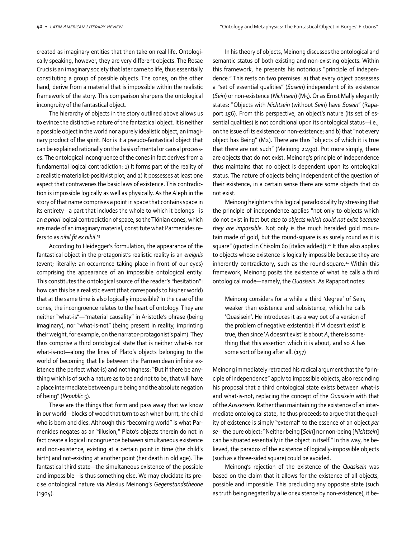created as imaginary entities that then take on real life. Ontologi‐ cally speaking, however, they are very different objects. The Rosae Crucis is an imaginary society that later came to life, thus essentially constituting a group of possible objects. The cones, on the other hand, derive from a material that is impossible within the realistic framework of the story. This comparison sharpens the ontological incongruity of the fantastical object.

The hierarchy of objects in the story outlined above allows us to evince the distinctive nature of the fantastical object. It is neither a possible object in the world nor a purely idealistic object, an imagi‐ nary product of the spirit. Nor is it a pseudo-fantastical object that can be explained rationally on the basis of mental or causal processes. The ontological incongruence of the cones in fact derives from a fundamental logical contradiction: 1) It forms part of the reality of a realistic-materialist-positivist plot; and 2) it possesses at least one aspect that contravenes the basic laws of existence. This contradic‐ tion is impossible logically as well as physically. As the Aleph in the story of that name comprises a point in space that contains space in its entirety—a part that includes the whole to which it belongs—is an *a priori* logical contradiction of space, so the Tlönian cones, which are made of an imaginary material, constitute what Parmenides re‐ fers to as *nihil fit ex nihil*. 19

According to Heidegger's formulation, the appearance of the fantastical object in the protagonist's realistic reality is an *ereignis* (event; literally: an occurrence taking place in front of our eyes) comprising the appearance of an impossible ontological entity. This constitutes the ontological source of the reader's "hesitation": how can this be a realistic event (that corresponds to his/her world) that at the same time is also logically impossible? In the case of the cones, the incongruence relates to the heart of ontology. They are neither "what-is"—"material causality" in Aristotle's phrase (being imaginary), nor "what-is-not" (being present in reality, imprinting their weight, for example, on the narrator-protagonist's palm). They thus comprise a third ontological state that is neither what-is nor what-is-not—along the lines of Plato's objects belonging to the world of becoming that lie between the Parmenidean infinite existence (the perfect what-is) and nothingness: "But if there be any‐ thing which is of such a nature as to be and not to be, that will have a place intermediate between pure being and the absolute negation of being" (*Republic* 5).

These are the things that form and pass away that we know in our world—blocks of wood that turn to ash when burnt, the child who is born and dies. Although this "becoming world" is what Parmenides negates as an "illusion," Plato's objects therein do not in fact create a logical incongruence between simultaneous existence and non-existence, existing at a certain point in time (the child's birth) and not-existing at another point (her death in old age). The fantastical third state—the simultaneous existence of the possible and impossible—is thus something else. We may elucidate its pre‐ cise ontological nature via Alexius Meinong's *Gegenstandstheorie* (1904).

In his theory of objects, Meinong discusses the ontological and semantic status of both existing and non-existing objects. Within this framework, he presents his notorious "principle of indepen‐ dence." This rests on two premises: a) that every object possesses a "set of essential qualities" (*Sosein*) independent of its existence (*Sein*) or non-existence (*Nichtsein*) (M5). Or as Ernst Mally elegantly states: "Objects with *Nichtsein* (without *Sein*) have *Sosein*" (Rapa‐ port 156). From this perspective, an object's nature (its set of essential qualities) is not conditional upon its ontological status—i.e., on the issue of its existence or non-existence; and b) that "not every object has Being" (M2). There are thus "objects of which it is true that there are not such" (Meinong 2:490). Put more simply, there are objects that do not exist. Meinong's principle of independence thus maintains that no object is dependent upon its ontological status. The nature of objects being independent of the question of their existence, in a certain sense there are some objects that do not exist.

Meinong heightens this logical paradoxicality by stressing that the principle of independence applies "not only to objects which do not exist in fact but *also to objects which could not exist because they are impossible*. Not only is the much heralded gold moun‐ tain made of gold, but the round-square is as surely round as it is square" (quoted in Chisolm 60 [italics added]).<sup>20</sup> It thus also applies to objects whose existence is logically impossible because they are inherently contradictory, such as the round-square.<sup>21</sup> Within this framework, Meinong posits the existence of what he calls a third ontological mode—namely, the *Quasisein*. As Rapaport notes:

Meinong considers for a while a third 'degree' of Sein, weaker than existence and subsistence, which he calls 'Quasisein'. He introduces it as a way out of a version of the problem of negative existential: if '*A* doesn't exist' is true, then since '*A* doesn't exist' is about *A*, there is some‐ thing that this assertion which it is about, and so *A* has some sort of being after all. (157)

Meinong immediately retracted his radical argument that the "prin‐ ciple of independence" apply to impossible objects, also rescinding his proposal that a third ontological state exists between what-is and what-is-not, replacing the concept of the *Quasisein* with that of the *Aussersein*. Rather than maintaining the existence of an inter‐ mediate ontological state, he thus proceeds to argue that the qual‐ ity of existence is simply "external" to the essence of an object *per se*—the pure object: "Neither being [*Sein*] nor non-being [*Nichtsein*] can be situated essentially in the object in itself." In this way, he be‐ lieved, the paradox of the existence of logically-impossible objects (such as a three-sided square) could be avoided.

Meinong's rejection of the existence of the *Quasisein* was based on the claim that it allows for the existence of all objects, possible and impossible. This precluding any opposite state (such as truth being negated by a lie or existence by non-existence), it be‐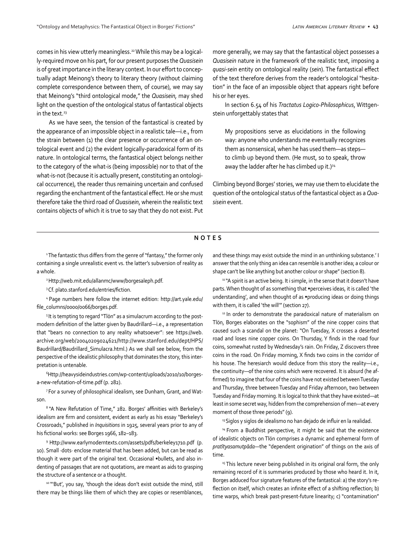comes in his view utterly meaningless.<sup>22</sup> While this may be a logically-required move on his part, for our present purposes the *Quasisein* is of great importance in the literary context. In our effort to conceptually adapt Meinong's theory to literary theory (without claiming complete correspondence between them, of course), we may say that Meinong's "third ontological mode," the *Quasisein,* may shed light on the question of the ontological status of fantastical objects in the text.<sup>23</sup>

As we have seen, the tension of the fantastical is created by the appearance of an impossible object in a realistic tale—i.e., from the strain between (1) the clear presence or occurrence of an ontological event and (2) the evident logically-paradoxical form of its nature. In ontological terms, the fantastical object belongs neither to the category of the what-is (being impossible) nor to that of the what-is-not (because it is actually present, constituting an ontological occurrence), the reader thus remaining uncertain and confused regarding the enchantment of the fantastical effect. He or she must therefore take the third road of *Quasisein*, wherein the realistic text contains objects of which it is true to say that they do not exist. Put more generally, we may say that the fantastical object possesses a *Quasisein* nature in the framework of the realistic text, imposing a *quasi-sein* entity on ontological reality (*sein*). The fantastical effect of the text therefore derives from the reader's ontological "hesita‐ tion" in the face of an impossible object that appears right before his or her eyes.

In section 6.54 of his *Tractatus Logico-Philosophicus*, Wittgen‐ stein unforgettably states that

My propositions serve as elucidations in the following way: anyone who understands me eventually recognizes them as nonsensical, when he has used them—as steps to climb up beyond them. (He must, so to speak, throw away the ladder after he has climbed up it.)<sup>24</sup>

Climbing beyond Borges' stories, we may use them to elucidate the question of the ontological status of the fantastical object as a *Quasisein* event.

## **NOTES**

<sup>1</sup>The fantastic thus differs from the genre of "fantasy," the former only containing a single unrealistic event vs. the latter's subversion of reality as a whole.

2 Http://web.mit.edu/allanmc/www/borgesaleph.pdf.

<sup>3</sup>Cf. plato.stanford.edu/entries/fiction.

4 Page numbers here follow the internet edition: http://art.yale.edu/ file\_columns/0000/0066/borges.pdf.

5 It is tempting to regard "Tlön" as a simulacrum according to the postmodern definition of the latter given by Baudrillard—i.e., a representation that "bears no connection to any reality whatsoever": see https://web. archive.org/web/20040209024621/http://www.stanford.edu/dept/HPS/ Baudrillard/Baudrillard\_Simulacra.html.) As we shall see below, from the perspective of the idealistic philosophy that dominates the story, this inter‐ pretation is untenable.

6 Http://heavysideindustries.com/wp-content/uploads/2010/10/borgesa-new-refutation-of-time.pdf (p. 282).

7 For a survey of philosophical idealism, see Dunham, Grant, and Wat‐ son.

<sup>8</sup>"A New Refutation of Time," 282. Borges' affinities with Berkeley's idealism are firm and consistent, evident as early as his essay "Berkeley's Crossroads," published in *Inquisitions* in 1925, several years prior to any of his fictional works: see Borges 1966, 182–183.

9 Http://www.earlymoderntexts.com/assets/pdfs/berkeley1710.pdf (p. 10). Small ·dots· enclose material that has been added, but can be read as though it were part of the original text. Occasional •bullets, and also in‐ denting of passages that are not quotations, are meant as aids to grasping the structure of a sentence or a thought.

<sup>10</sup> "'But', you say, 'though the ideas don't exist outside the mind, still there may be things like them of which they are copies or resemblances,

and these things may exist outside the mind in an unthinking substance.' I answer that the only thing an idea can resemble is another idea; a colour or shape can't be like anything but another colour or shape" (section 8).

<sup>11</sup> "A spirit is an active being. It i simple, in the sense that it doesn't have parts. When thought of as something that •perceives ideas, it is called 'the understanding', and when thought of as •producing ideas or doing things with them, it is called 'the will'" (section 27).

<sup>12</sup> In order to demonstrate the paradoxical nature of materialism on Tlön, Borges elaborates on the "sophism" of the nine copper coins that caused such a scandal on the planet: "On Tuesday, X crosses a deserted road and loses nine copper coins. On Thursday, Y finds in the road four coins, somewhat rusted by Wednesday's rain. On Friday, Z discovers three coins in the road. On Friday morning, X finds two coins in the corridor of his house. The heresiarch would deduce from this story the reality—i.e., the continuity—of the nine coins which were recovered. It is absurd (he af‐ firmed) to imagine that four of the coins have not existed between Tuesday and Thursday, three between Tuesday and Friday afternoon, two between Tuesday and Friday morning. It is logical to think that they have existed—at least in some secret way, hidden from the comprehension of men—at every moment of those three periods" (9).

<sup>13</sup> Siglos y siglos de idealismo no han dejado de influir en la realidad.

<sup>14</sup> From a Buddhist perspective, it might be said that the existence of idealistic objects on Tlön comprises a dynamic and ephemeral form of *pratītyasamutpāda*—the "dependent origination" of things on the axis of time.

<sup>15</sup> This lecture never being published in its original oral form, the only remaining record of it is summaries produced by those who heard it. In it, Borges adduced four signature features of the fantastical: a) the story's re‐ flection on itself, which creates an infinite effect of a shifting reflection; b) time warps, which break past-present-future linearity; c) "contamination"